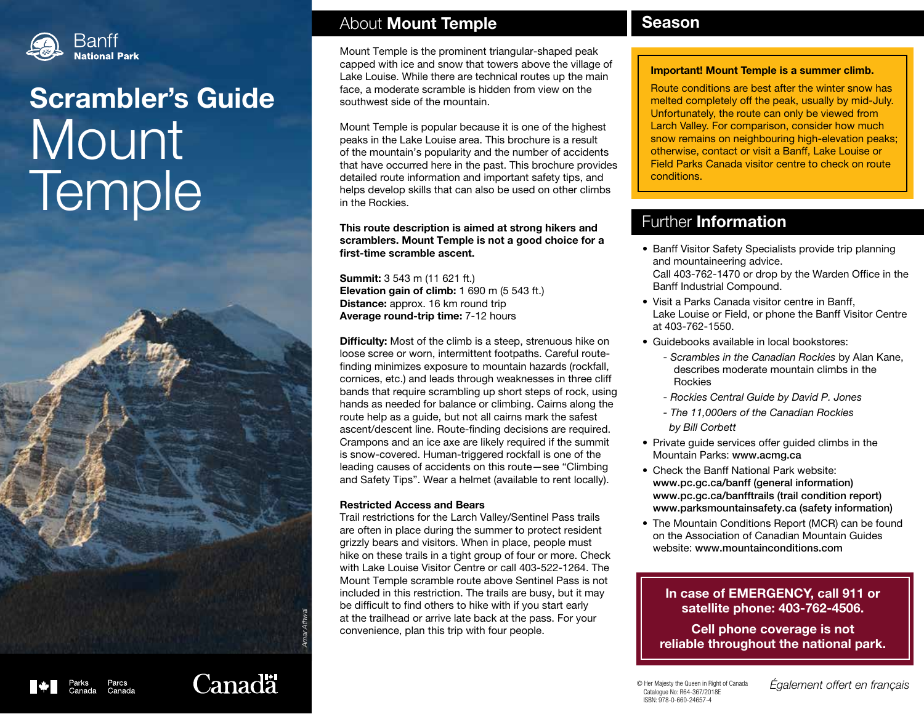

# Scrambler's Guide **Mount Temple**



## About Mount Temple

Mount Temple is the prominent triangular-shaped peak capped with ice and snow that towers above the village of Lake Louise. While there are technical routes up the main face, a moderate scramble is hidden from view on the southwest side of the mountain.

Mount Temple is popular because it is one of the highest peaks in the Lake Louise area. This brochure is a result of the mountain's popularity and the number of accidents that have occurred here in the past. This brochure provides detailed route information and important safety tips, and helps develop skills that can also be used on other climbs in the Rockies.

This route description is aimed at strong hikers and scramblers. Mount Temple is not a good choice for a first-time scramble ascent.

Summit: 3 543 m (11 621 ft.) Elevation gain of climb: 1 690 m (5 543 ft.) Distance: approx. 16 km round trip Average round-trip time: 7-12 hours

**Difficulty:** Most of the climb is a steep, strenuous hike on loose scree or worn, intermittent footpaths. Careful routefinding minimizes exposure to mountain hazards (rockfall, cornices, etc.) and leads through weaknesses in three cliff bands that require scrambling up short steps of rock, using hands as needed for balance or climbing. Cairns along the route help as a guide, but not all cairns mark the safest ascent/descent line. Route-finding decisions are required. Crampons and an ice axe are likely required if the summit is snow-covered. Human-triggered rockfall is one of the leading causes of accidents on this route—see "Climbing and Safety Tips". Wear a helmet (available to rent locally).

#### Restricted Access and Bears

Trail restrictions for the Larch Valley/Sentinel Pass trails are often in place during the summer to protect resident grizzly bears and visitors. When in place, people must hike on these trails in a tight group of four or more. Check with Lake Louise Visitor Centre or call 403-522-1264. The Mount Temple scramble route above Sentinel Pass is not included in this restriction. The trails are busy, but it may be difficult to find others to hike with if you start early at the trailhead or arrive late back at the pass. For your convenience, plan this trip with four people.

### **Season**

#### Important! Mount Temple is a summer climb.

Route conditions are best after the winter snow has melted completely off the peak, usually by mid-July. Unfortunately, the route can only be viewed from Larch Valley. For comparison, consider how much snow remains on neighbouring high-elevation peaks; otherwise, contact or visit a Banff, Lake Louise or Field Parks Canada visitor centre to check on route conditions.

# Further Information

- Banff Visitor Safety Specialists provide trip planning and mountaineering advice. Call 403-762-1470 or drop by the Warden Office in the Banff Industrial Compound.
- Visit a Parks Canada visitor centre in Banff, Lake Louise or Field, or phone the Banff Visitor Centre at 403-762-1550.
- Guidebooks available in local bookstores:
	- *Scrambles in the Canadian Rockies* by Alan Kane, describes moderate mountain climbs in the Rockies
	- *Rockies Central Guide by David P. Jones*
	- *The 11,000ers of the Canadian Rockies by Bill Corbett*
- Private guide services offer guided climbs in the Mountain Parks: www.acmg.ca
- Check the Banff National Park website: www.pc.gc.ca/banff (general information) www.pc.gc.ca/banfftrails (trail condition report) www.parksmountainsafety.ca (safety information)
- The Mountain Conditions Report (MCR) can be found on the Association of Canadian Mountain Guides website: www.mountainconditions.com

#### In case of EMERGENCY, call 911 or satellite phone: 403-762-4506.

Cell phone coverage is not reliable throughout the national park.

© Her Majesty the Queen in Right of Canada Catalogue No: R64-367/2018E ISBN: 978-0-660-24657-4

*Également offert en français*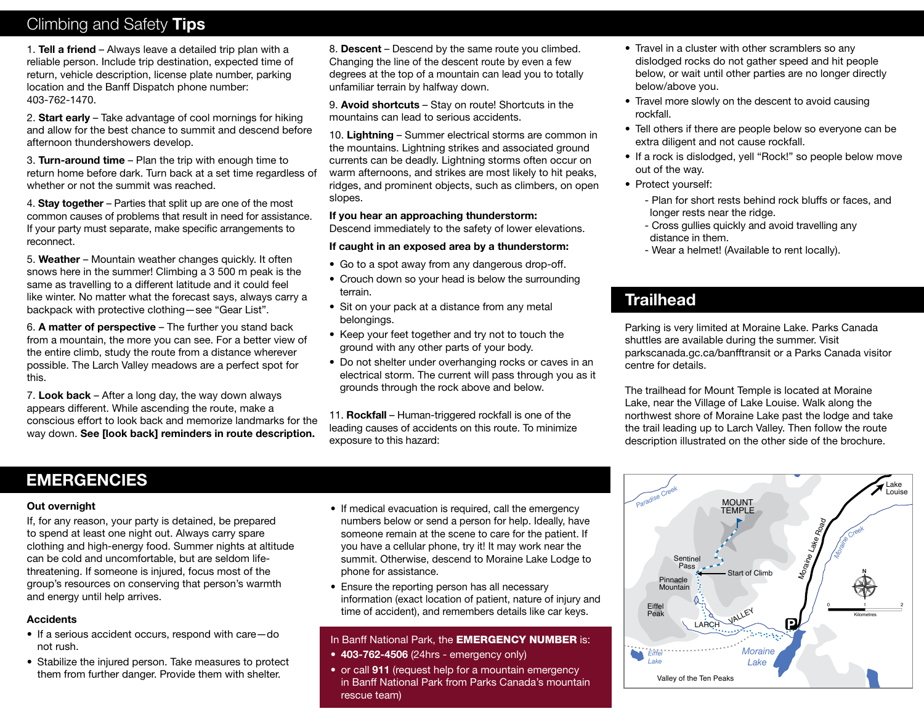# Climbing and Safety Tips

1. Tell a friend – Always leave a detailed trip plan with a reliable person. Include trip destination, expected time of return, vehicle description, license plate number, parking location and the Banff Dispatch phone number: 403-762-1470.

2. Start early – Take advantage of cool mornings for hiking and allow for the best chance to summit and descend before afternoon thundershowers develop.

3. Turn-around time – Plan the trip with enough time to return home before dark. Turn back at a set time regardless of whether or not the summit was reached.

4. Stay together – Parties that split up are one of the most common causes of problems that result in need for assistance. If your party must separate, make specific arrangements to reconnect.

5. Weather – Mountain weather changes quickly. It often snows here in the summer! Climbing a 3 500 m peak is the same as travelling to a different latitude and it could feel like winter. No matter what the forecast says, always carry a backpack with protective clothing—see "Gear List".

6. A matter of perspective – The further you stand back from a mountain, the more you can see. For a better view of the entire climb, study the route from a distance wherever possible. The Larch Valley meadows are a perfect spot for this.

7. Look back – After a long day, the way down always appears different. While ascending the route, make a conscious effort to look back and memorize landmarks for the way down. See [look back] reminders in route description.

8. Descent – Descend by the same route you climbed. Changing the line of the descent route by even a few degrees at the top of a mountain can lead you to totally unfamiliar terrain by halfway down.

9. Avoid shortcuts - Stay on route! Shortcuts in the mountains can lead to serious accidents.

10. Lightning – Summer electrical storms are common in the mountains. Lightning strikes and associated ground currents can be deadly. Lightning storms often occur on warm afternoons, and strikes are most likely to hit peaks, ridges, and prominent objects, such as climbers, on open slopes.

#### If you hear an approaching thunderstorm:

Descend immediately to the safety of lower elevations.

#### If caught in an exposed area by a thunderstorm:

- Go to a spot away from any dangerous drop-off.
- Crouch down so your head is below the surrounding terrain.
- Sit on your pack at a distance from any metal belongings.
- Keep your feet together and try not to touch the ground with any other parts of your body.
- Do not shelter under overhanging rocks or caves in an electrical storm. The current will pass through you as it grounds through the rock above and below.

11. Rockfall – Human-triggered rockfall is one of the leading causes of accidents on this route. To minimize exposure to this hazard:

- Travel in a cluster with other scramblers so any dislodged rocks do not gather speed and hit people below, or wait until other parties are no longer directly below/above you.
- Travel more slowly on the descent to avoid causing rockfall.
- Tell others if there are people below so everyone can be extra diligent and not cause rockfall.
- If a rock is dislodged, yell "Rock!" so people below move out of the way.
- Protect yourself:
	- Plan for short rests behind rock bluffs or faces, and longer rests near the ridge.
	- Cross gullies quickly and avoid travelling any distance in them.
	- Wear a helmet! (Available to rent locally).

# **Trailhead**

Parking is very limited at Moraine Lake. Parks Canada shuttles are available during the summer. Visit parkscanada.gc.ca/banfftransit or a Parks Canada visitor centre for details.

The trailhead for Mount Temple is located at Moraine Lake, near the Village of Lake Louise. Walk along the northwest shore of Moraine Lake past the lodge and take the trail leading up to Larch Valley. Then follow the route description illustrated on the other side of the brochure.



# **EMERGENCIES**

#### Out overnight

If, for any reason, your party is detained, be prepared to spend at least one night out. Always carry spare clothing and high-energy food. Summer nights at altitude can be cold and uncomfortable, but are seldom lifethreatening. If someone is injured, focus most of the group's resources on conserving that person's warmth and energy until help arrives.

#### **Accidents**

- If a serious accident occurs, respond with care—do not rush.
- Stabilize the injured person. Take measures to protect them from further danger. Provide them with shelter.
- If medical evacuation is required, call the emergency numbers below or send a person for help. Ideally, have someone remain at the scene to care for the patient. If you have a cellular phone, try it! It may work near the summit. Otherwise, descend to Moraine Lake Lodge to phone for assistance.
- Ensure the reporting person has all necessary information (exact location of patient, nature of injury and time of accident), and remembers details like car keys.

#### In Banff National Park, the **EMERGENCY NUMBER** is:

- 403-762-4506 (24hrs emergency only)
- or call 911 (request help for a mountain emergency in Banff National Park from Parks Canada's mountain rescue team)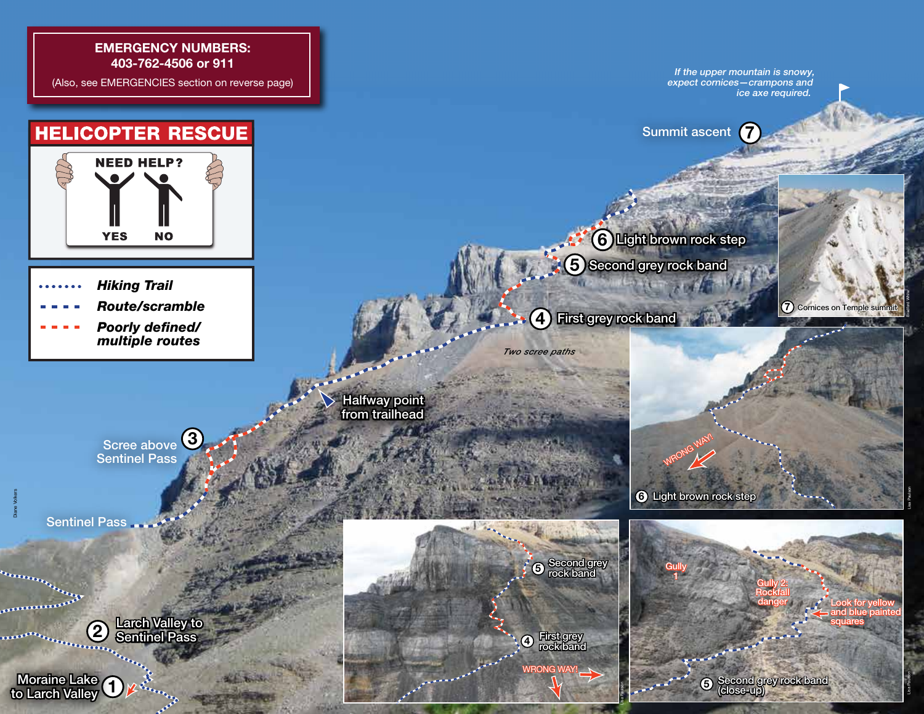